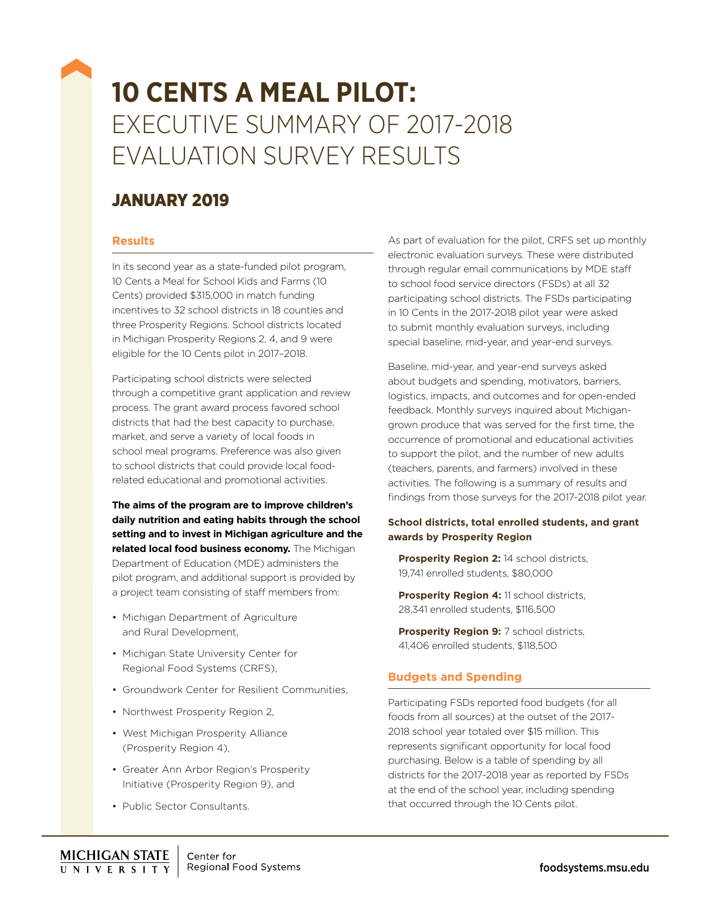# **10 CENTS A MEAL PILOT:** EXECUTIVE SUMMARY OF 2017-2018 EVALUATION SURVEY RESULTS

## JANUARY 2019

## **Results**

In its second year as a state-funded pilot program, 10 Cents a Meal for School Kids and Farms (10 Cents) provided \$315,000 in match funding incentives to 32 school districts in 18 counties and three Prosperity Regions. School districts located in Michigan Prosperity Regions 2, 4, and 9 were eligible for the 10 Cents pilot in 2017–2018.

Participating school districts were selected through a competitive grant application and review process. The grant award process favored school districts that had the best capacity to purchase, market, and serve a variety of local foods in school meal programs. Preference was also given to school districts that could provide local foodrelated educational and promotional activities.

**The aims of the program are to improve children's daily nutrition and eating habits through the school setting and to invest in Michigan agriculture and the related local food business economy.** The Michigan Department of Education (MDE) administers the pilot program, and additional support is provided by a project team consisting of staff members from:

- Michigan Department of Agriculture and Rural Development,
- Michigan State University Center for Regional Food Systems (CRFS),
- Groundwork Center for Resilient Communities,
- Northwest Prosperity Region 2.
- West Michigan Prosperity Alliance (Prosperity Region 4),
- Greater Ann Arbor Region's Prosperity Initiative (Prosperity Region 9), and
- Public Sector Consultants.

As part of evaluation for the pilot, CRFS set up monthly electronic evaluation surveys. These were distributed through regular email communications by MDE staff to school food service directors (FSDs) at all 32 participating school districts. The FSDs participating in 10 Cents in the 2017-2018 pilot year were asked to submit monthly evaluation surveys, including special baseline, mid-year, and year-end surveys.

Baseline, mid-year, and year-end surveys asked about budgets and spending, motivators, barriers, logistics, impacts, and outcomes and for open-ended feedback. Monthly surveys inquired about Michigangrown produce that was served for the first time, the occurrence of promotional and educational activities to support the pilot, and the number of new adults (teachers, parents, and farmers) involved in these activities. The following is a summary of results and findings from those surveys for the 2017-2018 pilot year.

#### **School districts, total enrolled students, and grant awards by Prosperity Region**

**Prosperity Region 2:** 14 school districts, 19,741 enrolled students, \$80,000

**Prosperity Region 4: 11 school districts,** 28,341 enrolled students, \$116,500

**Prosperity Region 9: 7 school districts,** 41,406 enrolled students, \$118,500

## **Budgets and Spending**

Participating FSDs reported food budgets (for all foods from all sources) at the outset of the 2017- 2018 school year totaled over \$15 million. This represents significant opportunity for local food purchasing. Below is a table of spending by all districts for the 2017-2018 year as reported by FSDs at the end of the school year, including spending that occurred through the 10 Cents pilot.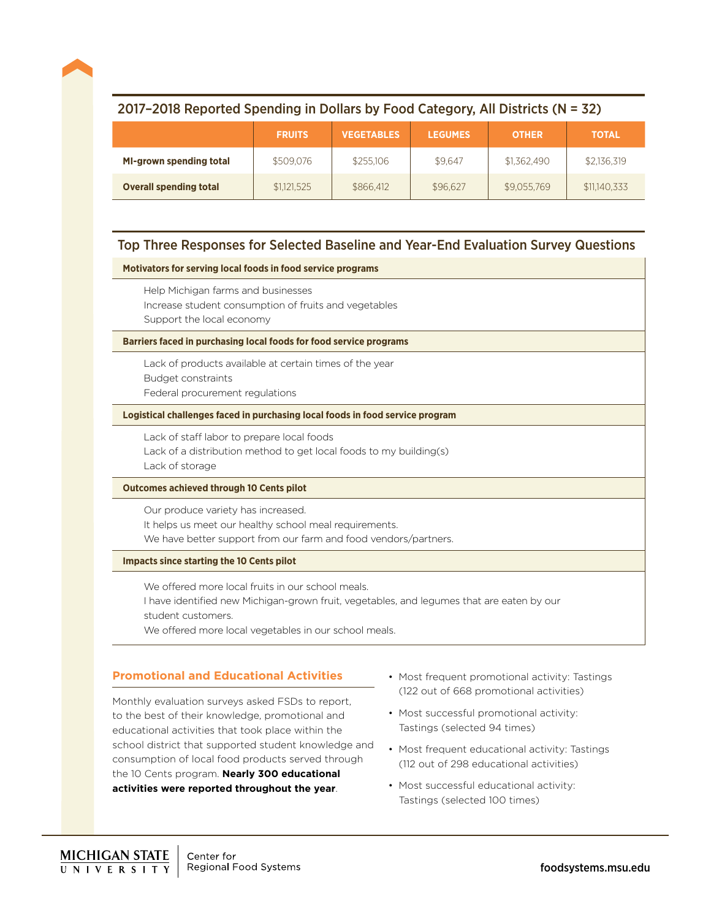## 2017–2018 Reported Spending in Dollars by Food Category, All Districts (N = 32)

|                                | <b>FRUITS</b> | <b>VEGETABLES</b> | <b>LEGUMES</b> | <b>OTHER</b> | <b>TOTAL</b> |
|--------------------------------|---------------|-------------------|----------------|--------------|--------------|
| <b>MI-grown spending total</b> | \$509,076     | \$255,106         | \$9.647        | \$1,362,490  | \$2,136,319  |
| <b>Overall spending total</b>  | \$1,121,525   | \$866,412         | \$96,627       | \$9,055,769  | \$11,140,333 |

## Top Three Responses for Selected Baseline and Year-End Evaluation Survey Questions

#### **Motivators for serving local foods in food service programs**

Help Michigan farms and businesses Increase student consumption of fruits and vegetables Support the local economy

#### **Barriers faced in purchasing local foods for food service programs**

Lack of products available at certain times of the year Budget constraints Federal procurement regulations

#### **Logistical challenges faced in purchasing local foods in food service program**

Lack of staff labor to prepare local foods Lack of a distribution method to get local foods to my building(s) Lack of storage

#### **Outcomes achieved through 10 Cents pilot**

Our produce variety has increased. It helps us meet our healthy school meal requirements. We have better support from our farm and food vendors/partners.

#### **Impacts since starting the 10 Cents pilot**

We offered more local fruits in our school meals.

I have identified new Michigan-grown fruit, vegetables, and legumes that are eaten by our student customers.

We offered more local vegetables in our school meals.

#### **Promotional and Educational Activities**

Monthly evaluation surveys asked FSDs to report, to the best of their knowledge, promotional and educational activities that took place within the school district that supported student knowledge and consumption of local food products served through the 10 Cents program. **Nearly 300 educational activities were reported throughout the year**.

- Most frequent promotional activity: Tastings (122 out of 668 promotional activities)
- Most successful promotional activity: Tastings (selected 94 times)
- Most frequent educational activity: Tastings (112 out of 298 educational activities)
- Most successful educational activity: Tastings (selected 100 times)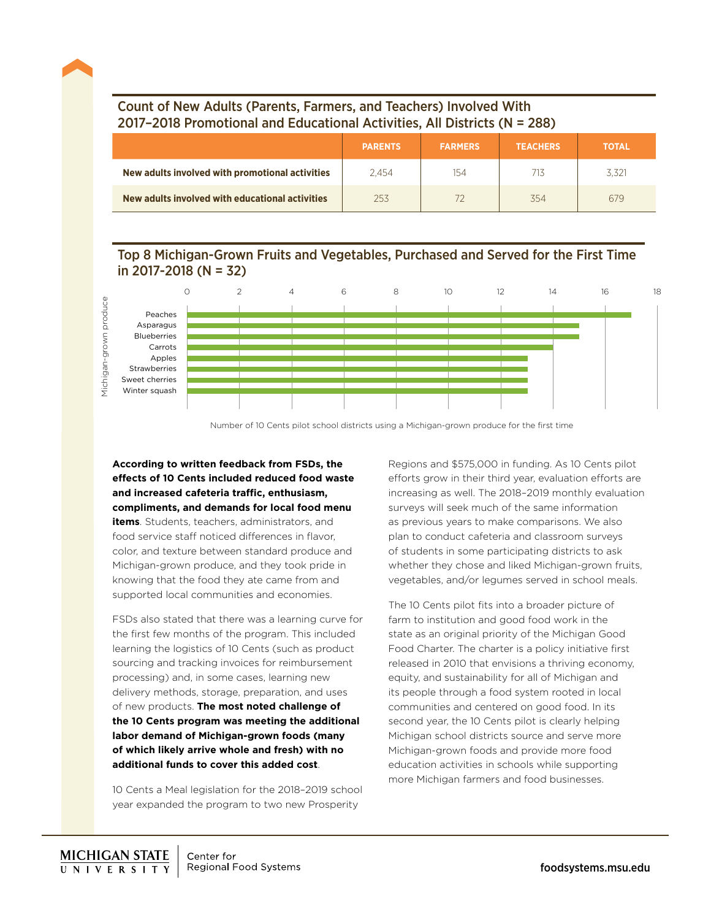## Count of New Adults (Parents, Farmers, and Teachers) Involved With 2017–2018 Promotional and Educational Activities, All Districts (N = 288)

|                                                 | <b>PARENTS</b> | <b>FARMERS</b> | <b>TEACHERS</b> | <b>TOTAL</b> |
|-------------------------------------------------|----------------|----------------|-----------------|--------------|
| New adults involved with promotional activities | 2.454          | 154            | 713             |              |
| New adults involved with educational activities | 253            |                | 354             | 679          |

## Top 8 Michigan-Grown Fruits and Vegetables, Purchased and Served for the First Time in 2017-2018 (N = 32)



Number of 10 Cents pilot school districts using a Michigan-grown produce for the first time

**According to written feedback from FSDs, the effects of 10 Cents included reduced food waste and increased cafeteria traffic, enthusiasm, compliments, and demands for local food menu items**. Students, teachers, administrators, and food service staff noticed differences in flavor, color, and texture between standard produce and Michigan-grown produce, and they took pride in knowing that the food they ate came from and supported local communities and economies.

FSDs also stated that there was a learning curve for the first few months of the program. This included learning the logistics of 10 Cents (such as product sourcing and tracking invoices for reimbursement processing) and, in some cases, learning new delivery methods, storage, preparation, and uses of new products. **The most noted challenge of the 10 Cents program was meeting the additional labor demand of Michigan-grown foods (many of which likely arrive whole and fresh) with no additional funds to cover this added cost**.

10 Cents a Meal legislation for the 2018–2019 school year expanded the program to two new Prosperity

Regions and \$575,000 in funding. As 10 Cents pilot efforts grow in their third year, evaluation efforts are increasing as well. The 2018–2019 monthly evaluation surveys will seek much of the same information as previous years to make comparisons. We also plan to conduct cafeteria and classroom surveys of students in some participating districts to ask whether they chose and liked Michigan-grown fruits, vegetables, and/or legumes served in school meals.

The 10 Cents pilot fits into a broader picture of farm to institution and good food work in the state as an original priority of the Michigan Good Food Charter. The charter is a policy initiative first released in 2010 that envisions a thriving economy, equity, and sustainability for all of Michigan and its people through a food system rooted in local communities and centered on good food. In its second year, the 10 Cents pilot is clearly helping Michigan school districts source and serve more Michigan-grown foods and provide more food education activities in schools while supporting more Michigan farmers and food businesses.